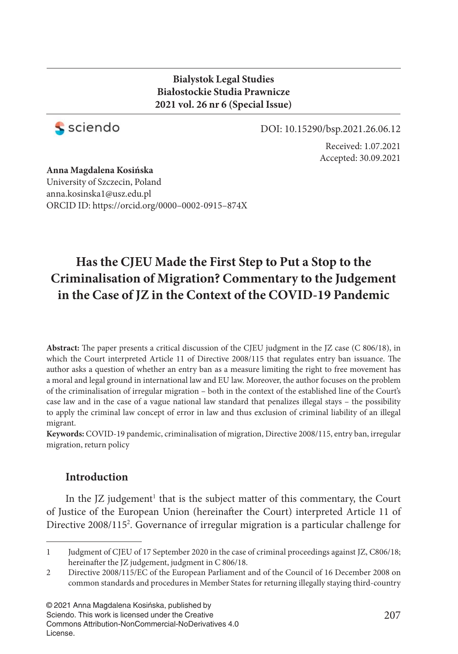#### **Bialystok Legal Studies Białostockie Studia Prawnicze 2021 vol. 26 nr 6 (Special Issue)**



DOI: 10.15290/bsp.2021.26.06.12

Received: 1.07.2021 Accepted: 30.09.2021

**Anna Magdalena Kosińska** University of Szczecin, Poland anna.kosinska1@usz.edu.pl ORCID ID: https://orcid.org/0000–0002-0915–874X

# **Has the CJEU Made the First Step to Put a Stop to the Criminalisation of Migration? Commentary to the Judgement in the Case of JZ in the Context of the COVID-19 Pandemic**

Abstract: The paper presents a critical discussion of the CJEU judgment in the JZ case (C 806/18), in which the Court interpreted Article 11 of Directive 2008/115 that regulates entry ban issuance. The author asks a question of whether an entry ban as a measure limiting the right to free movement has a moral and legal ground in international law and EU law. Moreover, the author focuses on the problem of the criminalisation of irregular migration – both in the context of the established line of the Court's case law and in the case of a vague national law standard that penalizes illegal stays – the possibility to apply the criminal law concept of error in law and thus exclusion of criminal liability of an illegal migrant.

**Keywords:** COVID-19 pandemic, criminalisation of migration, Directive 2008/115, entry ban, irregular migration, return policy

## **Introduction**

In the JZ judgement<sup>1</sup> that is the subject matter of this commentary, the Court of Justice of the European Union (hereinafter the Court) interpreted Article 11 of Directive 2008/115<sup>2</sup> . Governance of irregular migration is a particular challenge for

© 2021 Anna Magdalena Kosińska, published by Sciendo. This work is licensed under the Creative Commons Attribution-NonCommercial-NoDerivatives 4.0 License.

<sup>1</sup> Judgment of CJEU of 17 September 2020 in the case of criminal proceedings against JZ, C806/18; hereinafter the JZ judgement, judgment in C 806/18.

<sup>2</sup> Directive 2008/115/EC of the European Parliament and of the Council of 16 December 2008 on common standards and procedures in Member States for returning illegally staying third-country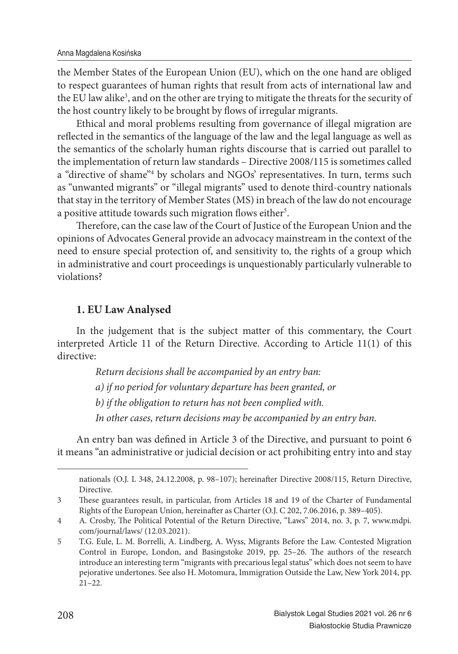the Member States of the European Union (EU), which on the one hand are obliged to respect guarantees of human rights that result from acts of international law and the EU law alike<sup>3</sup>, and on the other are trying to mitigate the threats for the security of the host country likely to be brought by flows of irregular migrants.

Ethical and moral problems resulting from governance of illegal migration are reflected in the semantics of the language of the law and the legal language as well as the semantics of the scholarly human rights discourse that is carried out parallel to the implementation of return law standards – Directive 2008/115 is sometimes called a "directive of shame"<sup>4</sup> by scholars and NGOs' representatives. In turn, terms such as "unwanted migrants" or "illegal migrants" used to denote third-country nationals that stay in the territory of Member States (MS) in breach of the law do not encourage a positive attitude towards such migration flows either<sup>5</sup>.

Therefore, can the case law of the Court of Justice of the European Union and the opinions of Advocates General provide an advocacy mainstream in the context of the need to ensure special protection of, and sensitivity to, the rights of a group which in administrative and court proceedings is unquestionably particularly vulnerable to violations?

#### **1. EU Law Analysed**

In the judgement that is the subject matter of this commentary, the Court interpreted Article 11 of the Return Directive. According to Article 11(1) of this directive:

*Return decisions shall be accompanied by an entry ban:*

*a) if no period for voluntary departure has been granted, or*

*b) if the obligation to return has not been complied with.*

*In other cases, return decisions may be accompanied by an entry ban.*

An entry ban was defined in Article 3 of the Directive, and pursuant to point 6 it means "an administrative or judicial decision or act prohibiting entry into and stay

nationals (O.J. L 348, 24.12.2008, p. 98-107); hereinafter Directive 2008/115, Return Directive, Directive.

<sup>3</sup> Th ese guarantees result, in particular, from Articles 18 and 19 of the Charter of Fundamental Rights of the European Union, hereinafter as Charter (O.J. C 202, 7.06.2016, p. 389-405).

<sup>4</sup> A. Crosby, The Political Potential of the Return Directive, "Laws" 2014, no. 3, p. 7, www.mdpi. com/journal/laws/ (12.03.2021).

<sup>5</sup> T.G. Eule, L. M. Borrelli, A. Lindberg, A. Wyss, Migrants Before the Law. Contested Migration Control in Europe, London, and Basingstoke 2019, pp. 25-26. The authors of the research introduce an interesting term "migrants with precarious legal status" which does not seem to have pejorative undertones. See also H. Motomura, Immigration Outside the Law, New York 2014, pp. 21–22.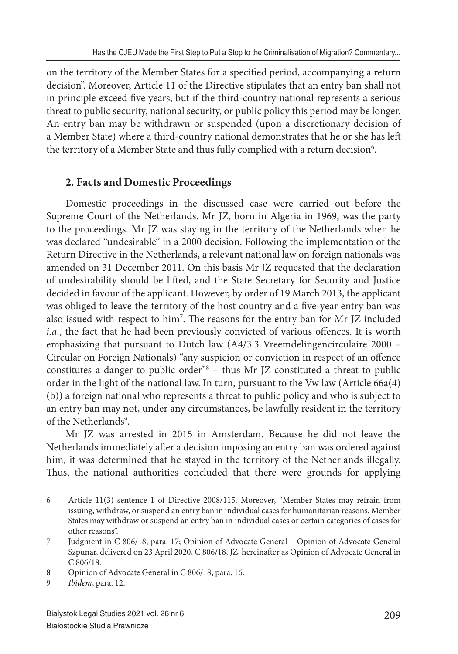on the territory of the Member States for a specified period, accompanying a return decision". Moreover, Article 11 of the Directive stipulates that an entry ban shall not in principle exceed five years, but if the third-country national represents a serious threat to public security, national security, or public policy this period may be longer. An entry ban may be withdrawn or suspended (upon a discretionary decision of a Member State) where a third-country national demonstrates that he or she has left the territory of a Member State and thus fully complied with a return decision $^6$ .

#### **2. Facts and Domestic Proceedings**

Domestic proceedings in the discussed case were carried out before the Supreme Court of the Netherlands. Mr JZ, born in Algeria in 1969, was the party to the proceedings. Mr JZ was staying in the territory of the Netherlands when he was declared "undesirable" in a 2000 decision. Following the implementation of the Return Directive in the Netherlands, a relevant national law on foreign nationals was amended on 31 December 2011. On this basis Mr JZ requested that the declaration of undesirability should be lifted, and the State Secretary for Security and Justice decided in favour of the applicant. However, by order of 19 March 2013, the applicant was obliged to leave the territory of the host country and a five-year entry ban was also issued with respect to him<sup>7</sup>. The reasons for the entry ban for Mr JZ included *i.a.*, the fact that he had been previously convicted of various offences. It is worth emphasizing that pursuant to Dutch law (A4/3.3 Vreemdelingencirculaire 2000 – Circular on Foreign Nationals) "any suspicion or conviction in respect of an offence constitutes a danger to public order<sup>"8</sup> - thus Mr JZ constituted a threat to public order in the light of the national law. In turn, pursuant to the Vw law (Article 66a(4) (b)) a foreign national who represents a threat to public policy and who is subject to an entry ban may not, under any circumstances, be lawfully resident in the territory of the Netherlands<sup>9</sup>.

Mr JZ was arrested in 2015 in Amsterdam. Because he did not leave the Netherlands immediately after a decision imposing an entry ban was ordered against him, it was determined that he stayed in the territory of the Netherlands illegally. Thus, the national authorities concluded that there were grounds for applying

<sup>6</sup> Article 11(3) sentence 1 of Directive 2008/115. Moreover, "Member States may refrain from issuing, withdraw, or suspend an entry ban in individual cases for humanitarian reasons. Member States may withdraw or suspend an entry ban in individual cases or certain categories of cases for other reasons".

<sup>7</sup> Judgment in C 806/18, para. 17; Opinion of Advocate General – Opinion of Advocate General Szpunar, delivered on 23 April 2020, C 806/18, JZ, hereinafter as Opinion of Advocate General in C 806/18.

<sup>8</sup> Opinion of Advocate General in C 806/18, para. 16.

<sup>9</sup> *Ibidem*, para. 12.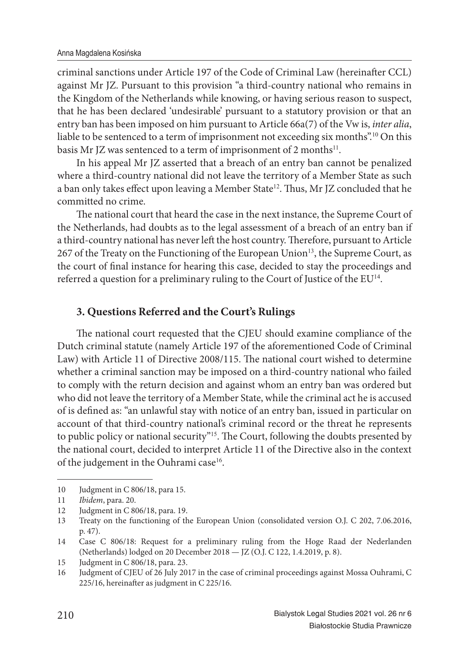criminal sanctions under Article 197 of the Code of Criminal Law (hereinafter CCL) against Mr JZ. Pursuant to this provision "a third-country national who remains in the Kingdom of the Netherlands while knowing, or having serious reason to suspect, that he has been declared 'undesirable' pursuant to a statutory provision or that an entry ban has been imposed on him pursuant to Article 66a(7) of the Vw is, *inter alia*, liable to be sentenced to a term of imprisonment not exceeding six months".<sup>10</sup> On this basis Mr JZ was sentenced to a term of imprisonment of 2 months<sup>11</sup>.

In his appeal Mr JZ asserted that a breach of an entry ban cannot be penalized where a third-country national did not leave the territory of a Member State as such a ban only takes effect upon leaving a Member State<sup>12</sup>. Thus, Mr JZ concluded that he committed no crime.

The national court that heard the case in the next instance, the Supreme Court of the Netherlands, had doubts as to the legal assessment of a breach of an entry ban if a third-country national has never left the host country. Therefore, pursuant to Article 267 of the Treaty on the Functioning of the European Union<sup>13</sup>, the Supreme Court, as the court of final instance for hearing this case, decided to stay the proceedings and referred a question for a preliminary ruling to the Court of Justice of the EU<sup>14</sup>.

# **3. Questions Referred and the Court's Rulings**

The national court requested that the CJEU should examine compliance of the Dutch criminal statute (namely Article 197 of the aforementioned Code of Criminal Law) with Article 11 of Directive 2008/115. The national court wished to determine whether a criminal sanction may be imposed on a third-country national who failed to comply with the return decision and against whom an entry ban was ordered but who did not leave the territory of a Member State, while the criminal act he is accused of is defined as: "an unlawful stay with notice of an entry ban, issued in particular on account of that third-country national's criminal record or the threat he represents to public policy or national security"<sup>15</sup>. The Court, following the doubts presented by the national court, decided to interpret Article 11 of the Directive also in the context of the judgement in the Ouhrami case<sup>16</sup>.

<sup>10</sup> Judgment in C 806/18, para 15.

<sup>11</sup> *Ibidem*, para. 20.

<sup>12</sup> Judgment in C 806/18, para. 19.

<sup>13</sup> Treaty on the functioning of the European Union (consolidated version O.J. C 202, 7.06.2016, p. 47).

<sup>14</sup> Case C 806/18: Request for a preliminary ruling from the Hoge Raad der Nederlanden (Netherlands) lodged on 20 December 2018 — JZ (O.J. C 122, 1.4.2019, p. 8).

<sup>15</sup> Judgment in C 806/18, para. 23.

<sup>16</sup> Judgment of CJEU of 26 July 2017 in the case of criminal proceedings against Mossa Ouhrami, C  $225/16$ , hereinafter as judgment in C 225/16.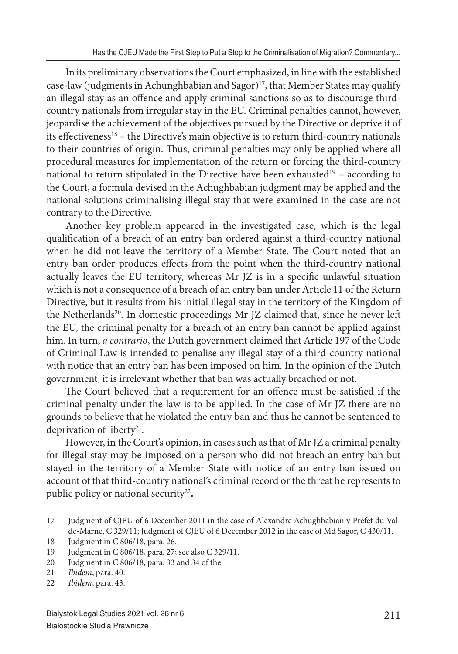In its preliminary observations the Court emphasized, in line with the established case-law (judgments in Achunghbabian and Sagor)<sup>17</sup>, that Member States may qualify an illegal stay as an offence and apply criminal sanctions so as to discourage thirdcountry nationals from irregular stay in the EU. Criminal penalties cannot, however, jeopardise the achievement of the objectives pursued by the Directive or deprive it of its effectiveness<sup>18</sup> – the Directive's main objective is to return third-country nationals to their countries of origin. Thus, criminal penalties may only be applied where all procedural measures for implementation of the return or forcing the third-country national to return stipulated in the Directive have been exhausted<sup>19</sup> – according to the Court, a formula devised in the Achughbabian judgment may be applied and the national solutions criminalising illegal stay that were examined in the case are not contrary to the Directive.

Another key problem appeared in the investigated case, which is the legal qualification of a breach of an entry ban ordered against a third-country national when he did not leave the territory of a Member State. The Court noted that an entry ban order produces effects from the point when the third-country national actually leaves the EU territory, whereas Mr JZ is in a specific unlawful situation which is not a consequence of a breach of an entry ban under Article 11 of the Return Directive, but it results from his initial illegal stay in the territory of the Kingdom of the Netherlands<sup>20</sup>. In domestic proceedings Mr JZ claimed that, since he never left the EU, the criminal penalty for a breach of an entry ban cannot be applied against him. In turn, *a contrario*, the Dutch government claimed that Article 197 of the Code of Criminal Law is intended to penalise any illegal stay of a third-country national with notice that an entry ban has been imposed on him. In the opinion of the Dutch government, it is irrelevant whether that ban was actually breached or not.

The Court believed that a requirement for an offence must be satisfied if the criminal penalty under the law is to be applied. In the case of Mr JZ there are no grounds to believe that he violated the entry ban and thus he cannot be sentenced to deprivation of liberty<sup>21</sup>.

However, in the Court's opinion, in cases such as that of Mr JZ a criminal penalty for illegal stay may be imposed on a person who did not breach an entry ban but stayed in the territory of a Member State with notice of an entry ban issued on account of that third-country national's criminal record or the threat he represents to public policy or national security<sup>22</sup>.

<sup>17</sup> Judgment of CJEU of 6 December 2011 in the case of Alexandre Achughbabian v Préfet du Valde-Marne, C 329/11; Judgment of CJEU of 6 December 2012 in the case of Md Sagor, C 430/11.

<sup>18</sup> Judgment in C 806/18, para. 26.

<sup>19</sup> Judgment in C 806/18, para. 27; see also C 329/11.

<sup>20</sup> Judgment in C 806/18, para. 33 and 34 of the

<sup>21</sup> *Ibidem*, para. 40.

<sup>22</sup> *Ibidem*, para. 43.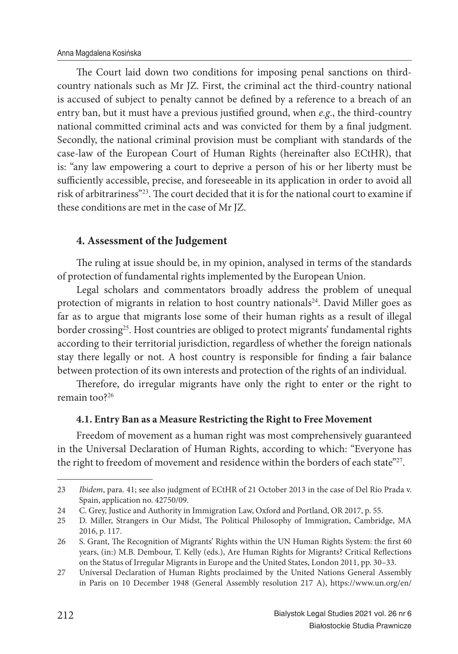The Court laid down two conditions for imposing penal sanctions on thirdcountry nationals such as Mr JZ. First, the criminal act the third-country national is accused of subject to penalty cannot be defined by a reference to a breach of an entry ban, but it must have a previous justified ground, when *e.g.*, the third-country national committed criminal acts and was convicted for them by a final judgment. Secondly, the national criminal provision must be compliant with standards of the case-law of the European Court of Human Rights (hereinafter also ECtHR), that is: "any law empowering a court to deprive a person of his or her liberty must be sufficiently accessible, precise, and foreseeable in its application in order to avoid all risk of arbitrariness"<sup>23</sup>. The court decided that it is for the national court to examine if these conditions are met in the case of Mr JZ.

## **4. Assessment of the Judgement**

The ruling at issue should be, in my opinion, analysed in terms of the standards of protection of fundamental rights implemented by the European Union.

Legal scholars and commentators broadly address the problem of unequal protection of migrants in relation to host country nationals<sup>24</sup>. David Miller goes as far as to argue that migrants lose some of their human rights as a result of illegal border crossing<sup>25</sup>. Host countries are obliged to protect migrants' fundamental rights according to their territorial jurisdiction, regardless of whether the foreign nationals stay there legally or not. A host country is responsible for finding a fair balance between protection of its own interests and protection of the rights of an individual.

Therefore, do irregular migrants have only the right to enter or the right to remain too?<sup>26</sup>

#### **4.1. Entry Ban as a Measure Restricting the Right to Free Movement**

Freedom of movement as a human right was most comprehensively guaranteed in the Universal Declaration of Human Rights, according to which: "Everyone has the right to freedom of movement and residence within the borders of each state"27.

<sup>23</sup> *Ibidem*, para. 41; see also judgment of ECtHR of 21 October 2013 in the case of Del Río Prada v. Spain, application no. 42750/09.

<sup>24</sup> C. Grey, Justice and Authority in Immigration Law, Oxford and Portland, OR 2017, p. 55.

<sup>25</sup> D. Miller, Strangers in Our Midst, The Political Philosophy of Immigration, Cambridge, MA 2016, p. 117.

<sup>26</sup> S. Grant, The Recognition of Migrants' Rights within the UN Human Rights System: the first 60 years, (in:) M.B. Dembour, T. Kelly (eds.), Are Human Rights for Migrants? Critical Reflections on the Status of Irregular Migrants in Europe and the United States, London 2011, pp. 30–33.

<sup>27</sup> Universal Declaration of Human Rights proclaimed by the United Nations General Assembly in Paris on 10 December 1948 (General Assembly resolution 217 A), https://www.un.org/en/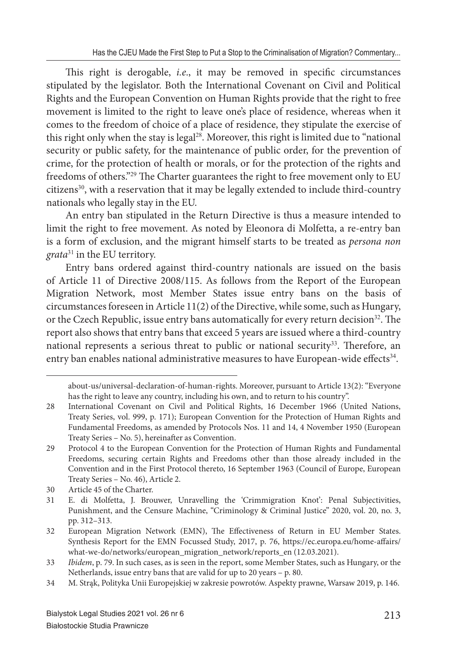This right is derogable, *i.e.*, it may be removed in specific circumstances stipulated by the legislator. Both the International Covenant on Civil and Political Rights and the European Convention on Human Rights provide that the right to free movement is limited to the right to leave one's place of residence, whereas when it comes to the freedom of choice of a place of residence, they stipulate the exercise of this right only when the stay is legal<sup>28</sup>. Moreover, this right is limited due to "national security or public safety, for the maintenance of public order, for the prevention of crime, for the protection of health or morals, or for the protection of the rights and freedoms of others."<sup>29</sup> The Charter guarantees the right to free movement only to EU citizens<sup>30</sup>, with a reservation that it may be legally extended to include third-country nationals who legally stay in the EU.

An entry ban stipulated in the Return Directive is thus a measure intended to limit the right to free movement. As noted by Eleonora di Molfetta, a re-entry ban is a form of exclusion, and the migrant himself starts to be treated as *persona non grata*<sup>31</sup> in the EU territory.

Entry bans ordered against third-country nationals are issued on the basis of Article 11 of Directive 2008/115. As follows from the Report of the European Migration Network, most Member States issue entry bans on the basis of circumstances foreseen in Article 11(2) of the Directive, while some, such as Hungary, or the Czech Republic, issue entry bans automatically for every return decision<sup>32</sup>. The report also shows that entry bans that exceed 5 years are issued where a third-country national represents a serious threat to public or national security<sup>33</sup>. Therefore, an entry ban enables national administrative measures to have European-wide effects<sup>34</sup>.

about-us/universal-declaration-of-human-rights. Moreover, pursuant to Article 13(2): "Everyone has the right to leave any country, including his own, and to return to his country".

<sup>28</sup> International Covenant on Civil and Political Rights, 16 December 1966 (United Nations, Treaty Series, vol. 999, p. 171); European Convention for the Protection of Human Rights and Fundamental Freedoms, as amended by Protocols Nos. 11 and 14, 4 November 1950 (European Treaty Series – No. 5), hereinafter as Convention.

<sup>29</sup> Protocol 4 to the European Convention for the Protection of Human Rights and Fundamental Freedoms, securing certain Rights and Freedoms other than those already included in the Convention and in the First Protocol thereto, 16 September 1963 (Council of Europe, European Treaty Series – No. 46), Article 2.

<sup>30</sup> Article 45 of the Charter.

<sup>31</sup> E. di Molfetta, J. Brouwer, Unravelling the 'Crimmigration Knot': Penal Subjectivities, Punishment, and the Censure Machine, "Criminology & Criminal Justice" 2020, vol. 20, no. 3, pp. 312–313.

<sup>32</sup> European Migration Network (EMN), The Effectiveness of Return in EU Member States. Synthesis Report for the EMN Focussed Study, 2017, p. 76, https://ec.europa.eu/home-affairs/ what-we-do/networks/european\_migration\_network/reports\_en (12.03.2021).

<sup>33</sup> *Ibidem*, p. 79. In such cases, as is seen in the report, some Member States, such as Hungary, or the Netherlands, issue entry bans that are valid for up to 20 years – p. 80.

<sup>34</sup> M. Strąk, Polityka Unii Europejskiej w zakresie powrotów. Aspekty prawne, Warsaw 2019, p. 146.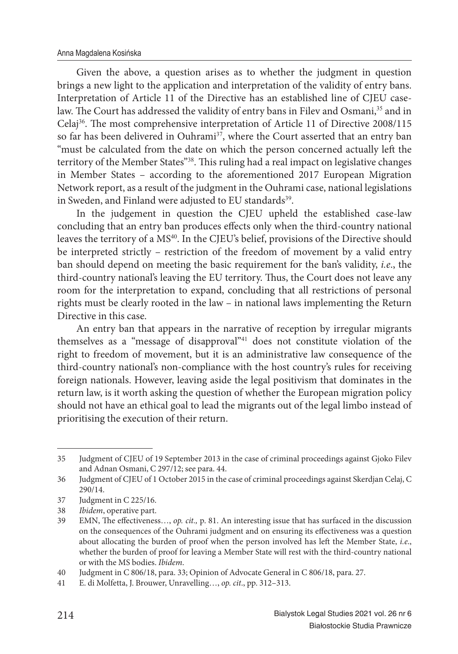#### Anna Magdalena Kosińska

Given the above, a question arises as to whether the judgment in question brings a new light to the application and interpretation of the validity of entry bans. Interpretation of Article 11 of the Directive has an established line of CJEU caselaw. The Court has addressed the validity of entry bans in Filev and Osmani,<sup>35</sup> and in Celaj<sup>36</sup>. The most comprehensive interpretation of Article 11 of Directive 2008/115 so far has been delivered in Ouhrami<sup>37</sup>, where the Court asserted that an entry ban "must be calculated from the date on which the person concerned actually left the territory of the Member States"<sup>38</sup>. This ruling had a real impact on legislative changes in Member States – according to the aforementioned 2017 European Migration Network report, as a result of the judgment in the Ouhrami case, national legislations in Sweden, and Finland were adjusted to EU standards<sup>39</sup>.

In the judgement in question the CJEU upheld the established case-law concluding that an entry ban produces effects only when the third-country national leaves the territory of a MS<sup>40</sup>. In the CJEU's belief, provisions of the Directive should be interpreted strictly – restriction of the freedom of movement by a valid entry ban should depend on meeting the basic requirement for the ban's validity, *i.e*., the third-country national's leaving the EU territory. Thus, the Court does not leave any room for the interpretation to expand, concluding that all restrictions of personal rights must be clearly rooted in the law – in national laws implementing the Return Directive in this case.

An entry ban that appears in the narrative of reception by irregular migrants themselves as a "message of disapproval"<sup>41</sup> does not constitute violation of the right to freedom of movement, but it is an administrative law consequence of the third-country national's non-compliance with the host country's rules for receiving foreign nationals. However, leaving aside the legal positivism that dominates in the return law, is it worth asking the question of whether the European migration policy should not have an ethical goal to lead the migrants out of the legal limbo instead of prioritising the execution of their return.

<sup>35</sup> Judgment of CJEU of 19 September 2013 in the case of criminal proceedings against Gjoko Filev and Adnan Osmani, C 297/12; see para. 44.

<sup>36</sup> Judgment of CJEU of 1 October 2015 in the case of criminal proceedings against Skerdjan Celaj, C 290/14.

<sup>37</sup> Judgment in C 225/16.

<sup>38</sup> *Ibidem*, operative part.

<sup>39</sup> EMN, The effectiveness..., op. cit., p. 81. An interesting issue that has surfaced in the discussion on the consequences of the Ouhrami judgment and on ensuring its effectiveness was a question about allocating the burden of proof when the person involved has left the Member State, *i.e*., whether the burden of proof for leaving a Member State will rest with the third-country national or with the MS bodies. *Ibidem*.

<sup>40</sup> Judgment in C 806/18, para. 33; Opinion of Advocate General in C 806/18, para. 27.

<sup>41</sup> E. di Molfetta, J. Brouwer, Unravelling…, *op. cit*., pp. 312–313.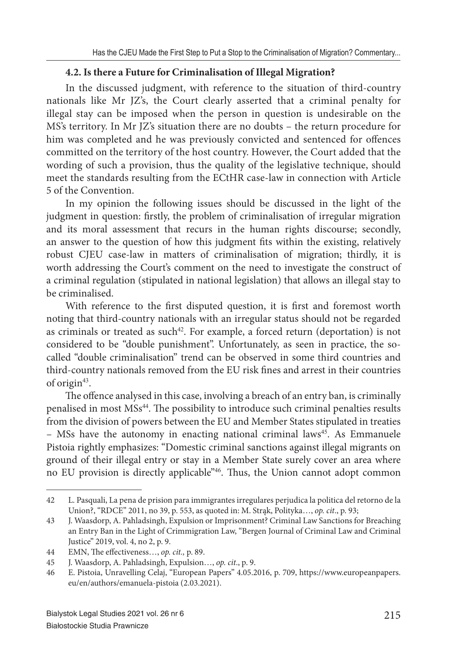#### **4.2. Is there a Future for Criminalisation of Illegal Migration?**

In the discussed judgment, with reference to the situation of third-country nationals like Mr JZ's, the Court clearly asserted that a criminal penalty for illegal stay can be imposed when the person in question is undesirable on the MS's territory. In Mr JZ's situation there are no doubts – the return procedure for him was completed and he was previously convicted and sentenced for offences committed on the territory of the host country. However, the Court added that the wording of such a provision, thus the quality of the legislative technique, should meet the standards resulting from the ECtHR case-law in connection with Article 5 of the Convention.

In my opinion the following issues should be discussed in the light of the judgment in question: firstly, the problem of criminalisation of irregular migration and its moral assessment that recurs in the human rights discourse; secondly, an answer to the question of how this judgment fits within the existing, relatively robust CJEU case-law in matters of criminalisation of migration; thirdly, it is worth addressing the Court's comment on the need to investigate the construct of a criminal regulation (stipulated in national legislation) that allows an illegal stay to be criminalised.

With reference to the first disputed question, it is first and foremost worth noting that third-country nationals with an irregular status should not be regarded as criminals or treated as such<sup>42</sup>. For example, a forced return (deportation) is not considered to be "double punishment". Unfortunately, as seen in practice, the socalled "double criminalisation" trend can be observed in some third countries and third-country nationals removed from the EU risk fines and arrest in their countries of origin<sup>43</sup>.

The offence analysed in this case, involving a breach of an entry ban, is criminally penalised in most MSs<sup>44</sup>. The possibility to introduce such criminal penalties results from the division of powers between the EU and Member States stipulated in treaties – MSs have the autonomy in enacting national criminal laws<sup>45</sup>. As Emmanuele Pistoia rightly emphasizes: "Domestic criminal sanctions against illegal migrants on ground of their illegal entry or stay in a Member State surely cover an area where no EU provision is directly applicable"<sup>46</sup>. Thus, the Union cannot adopt common

<sup>42</sup> L. Pasquali, La pena de prision para immigrantes irregulares perjudica la politica del retorno de la Union?, "RDCE" 2011, no 39, p. 553, as quoted in: M. Strąk, Polityka…, *op. cit*., p. 93;

<sup>43</sup> J. Waasdorp, A. Pahladsingh, Expulsion or Imprisonment? Criminal Law Sanctions for Breaching an Entry Ban in the Light of Crimmigration Law, "Bergen Journal of Criminal Law and Criminal Justice" 2019, vol. 4, no 2, p. 9.

<sup>44</sup> EMN, The effectiveness..., *op. cit.*, p. 89.

<sup>45</sup> J. Waasdorp, A. Pahladsingh, Expulsion…, *op. cit*., p. 9.

<sup>46</sup> E. Pistoia, Unravelling Celaj, "European Papers" 4.05.2016, p. 709, https://www.europeanpapers. eu/en/authors/emanuela-pistoia (2.03.2021).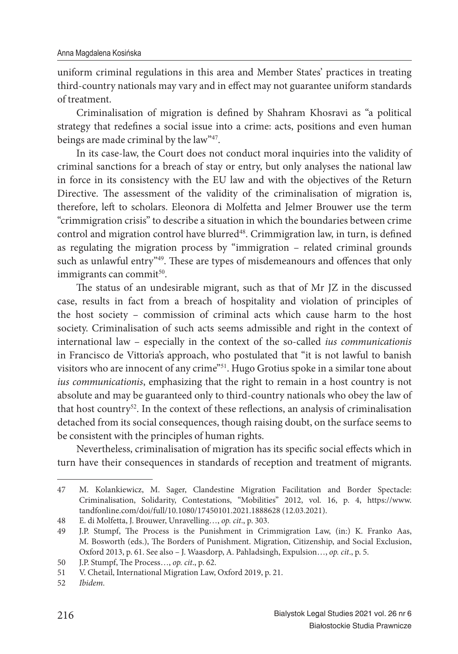uniform criminal regulations in this area and Member States' practices in treating third-country nationals may vary and in effect may not guarantee uniform standards of treatment.

Criminalisation of migration is defined by Shahram Khosravi as "a political strategy that redefines a social issue into a crime: acts, positions and even human beings are made criminal by the law"<sup>47</sup>.

In its case-law, the Court does not conduct moral inquiries into the validity of criminal sanctions for a breach of stay or entry, but only analyses the national law in force in its consistency with the EU law and with the objectives of the Return Directive. The assessment of the validity of the criminalisation of migration is, therefore, left to scholars. Eleonora di Molfetta and Jelmer Brouwer use the term "crimmigration crisis" to describe a situation in which the boundaries between crime control and migration control have blurred<sup>48</sup>. Crimmigration law, in turn, is defined as regulating the migration process by "immigration – related criminal grounds such as unlawful entry"<sup>49</sup>. These are types of misdemeanours and offences that only immigrants can commit<sup>50</sup>.

The status of an undesirable migrant, such as that of Mr JZ in the discussed case, results in fact from a breach of hospitality and violation of principles of the host society – commission of criminal acts which cause harm to the host society. Criminalisation of such acts seems admissible and right in the context of international law – especially in the context of the so-called *ius communicationis* in Francisco de Vittoria's approach, who postulated that "it is not lawful to banish visitors who are innocent of any crime"<sup>51</sup>. Hugo Grotius spoke in a similar tone about *ius communicationis*, emphasizing that the right to remain in a host country is not absolute and may be guaranteed only to third-country nationals who obey the law of that host country<sup>52</sup>. In the context of these reflections, an analysis of criminalisation detached from its social consequences, though raising doubt, on the surface seems to be consistent with the principles of human rights.

Nevertheless, criminalisation of migration has its specific social effects which in turn have their consequences in standards of reception and treatment of migrants.

<sup>47</sup> M. Kolankiewicz, M. Sager, Clandestine Migration Facilitation and Border Spectacle: Criminalisation, Solidarity, Contestations, "Mobilities" 2012, vol. 16, p. 4, https://www. tandfonline.com/doi/full/10.1080/17450101.2021.1888628 (12.03.2021).

<sup>48</sup> E. di Molfetta, J. Brouwer, Unravelling…, *op. cit*., p. 303.

<sup>49</sup> J.P. Stumpf, The Process is the Punishment in Crimmigration Law, (in:) K. Franko Aas, M. Bosworth (eds.), The Borders of Punishment. Migration, Citizenship, and Social Exclusion, Oxford 2013, p. 61. See also – J. Waasdorp, A. Pahladsingh, Expulsion…, *op. cit*., p. 5.

<sup>50</sup> J.P. Stumpf, The Process..., *op. cit.*, p. 62.

<sup>51</sup> V. Chetail, International Migration Law, Oxford 2019, p. 21.

<sup>52</sup> *Ibidem.*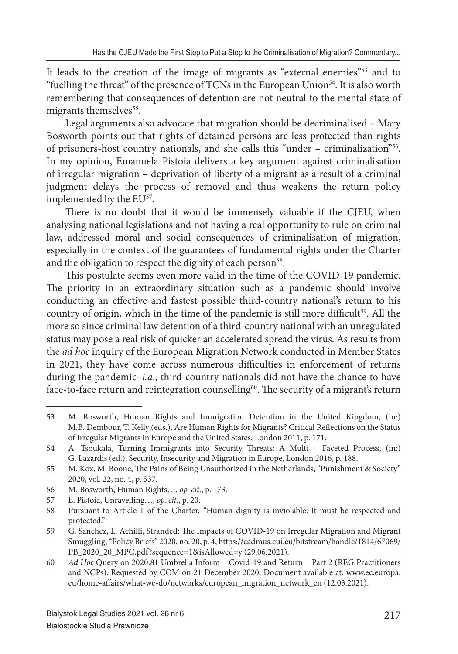It leads to the creation of the image of migrants as "external enemies"<sup>53</sup> and to "fuelling the threat" of the presence of TCNs in the European Union<sup>54</sup>. It is also worth remembering that consequences of detention are not neutral to the mental state of migrants themselves<sup>55</sup>.

Legal arguments also advocate that migration should be decriminalised – Mary Bosworth points out that rights of detained persons are less protected than rights of prisoners-host country nationals, and she calls this "under – criminalization"<sup>56</sup>. In my opinion, Emanuela Pistoia delivers a key argument against criminalisation of irregular migration – deprivation of liberty of a migrant as a result of a criminal judgment delays the process of removal and thus weakens the return policy implemented by the EU<sup>57</sup>.

There is no doubt that it would be immensely valuable if the CJEU, when analysing national legislations and not having a real opportunity to rule on criminal law, addressed moral and social consequences of criminalisation of migration, especially in the context of the guarantees of fundamental rights under the Charter and the obligation to respect the dignity of each person<sup>58</sup>.

This postulate seems even more valid in the time of the COVID-19 pandemic. The priority in an extraordinary situation such as a pandemic should involve conducting an effective and fastest possible third-country national's return to his country of origin, which in the time of the pandemic is still more difficult<sup>59</sup>. All the more so since criminal law detention of a third-country national with an unregulated status may pose a real risk of quicker an accelerated spread the virus. As results from the *ad hoc* inquiry of the European Migration Network conducted in Member States in 2021, they have come across numerous difficulties in enforcement of returns during the pandemic–*i.a*., third-country nationals did not have the chance to have face-to-face return and reintegration counselling<sup>60</sup>. The security of a migrant's return

<sup>53</sup> M. Bosworth, Human Rights and Immigration Detention in the United Kingdom, (in:) M.B. Dembour, T. Kelly (eds.), Are Human Rights for Migrants? Critical Reflections on the Status of Irregular Migrants in Europe and the United States, London 2011, p. 171.

<sup>54</sup> A. Tsoukala, Turning Immigrants into Security Threats: A Multi - Faceted Process, (in:) G. Lazardis (ed.), Security, Insecurity and Migration in Europe, London 2016, p. 188.

<sup>55</sup> M. Kox, M. Boone, The Pains of Being Unauthorized in the Netherlands, "Punishment & Society" 2020, vol. 22, no. 4, p. 537.

<sup>56</sup> M. Bosworth, Human Rights…, *op. cit*., p. 173.

<sup>57</sup> E. Pistoia, Unravelling…, *op. cit*., p. 20.

<sup>58</sup> Pursuant to Article 1 of the Charter, "Human dignity is inviolable. It must be respected and protected."

<sup>59</sup> G. Sanchez, L. Achilli, Stranded: The Impacts of COVID-19 on Irregular Migration and Migrant Smuggling, "Policy Briefs" 2020, no. 20, p. 4, https://cadmus.eui.eu/bitstream/handle/1814/67069/ PB\_2020\_20\_MPC.pdf?sequence=1&isAllowed=y (29.06.2021).

<sup>60</sup> *Ad Hoc* Query on 2020.81 Umbrella Inform – Covid-19 and Return – Part 2 (REG Practitioners and NCPs). Requested by COM on 21 December 2020, Document available at: www.ec.europa. eu/home-affairs/what-we-do/networks/european\_migration\_network\_en (12.03.2021).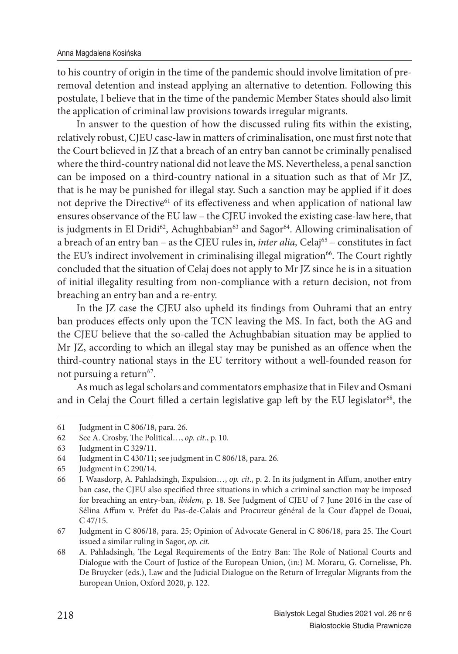to his country of origin in the time of the pandemic should involve limitation of preremoval detention and instead applying an alternative to detention. Following this postulate, I believe that in the time of the pandemic Member States should also limit the application of criminal law provisions towards irregular migrants.

In answer to the question of how the discussed ruling fits within the existing, relatively robust, CJEU case-law in matters of criminalisation, one must first note that the Court believed in JZ that a breach of an entry ban cannot be criminally penalised where the third-country national did not leave the MS. Nevertheless, a penal sanction can be imposed on a third-country national in a situation such as that of Mr JZ, that is he may be punished for illegal stay. Such a sanction may be applied if it does not deprive the Directive<sup>61</sup> of its effectiveness and when application of national law ensures observance of the EU law – the CJEU invoked the existing case-law here, that is judgments in El Dridi<sup>62</sup>, Achughbabian<sup>63</sup> and Sagor<sup>64</sup>. Allowing criminalisation of a breach of an entry ban – as the CJEU rules in, *inter alia*, Celaj<sup>65</sup> – constitutes in fact the EU's indirect involvement in criminalising illegal migration<sup>66</sup>. The Court rightly concluded that the situation of Celaj does not apply to Mr JZ since he is in a situation of initial illegality resulting from non-compliance with a return decision, not from breaching an entry ban and a re-entry.

In the JZ case the CJEU also upheld its findings from Ouhrami that an entry ban produces effects only upon the TCN leaving the MS. In fact, both the AG and the CJEU believe that the so-called the Achughbabian situation may be applied to Mr JZ, according to which an illegal stay may be punished as an offence when the third-country national stays in the EU territory without a well-founded reason for not pursuing a return<sup>67</sup>.

As much as legal scholars and commentators emphasize that in Filev and Osmani and in Celaj the Court filled a certain legislative gap left by the EU legislator<sup>68</sup>, the

<sup>61</sup> Judgment in C 806/18, para. 26.

<sup>62</sup> See A. Crosby, The Political..., *op. cit.*, p. 10.

<sup>63</sup> Judgment in C 329/11.

<sup>64</sup> Judgment in C 430/11; see judgment in C 806/18, para. 26.

<sup>65</sup> Judgment in C 290/14.

<sup>66</sup> J. Waasdorp, A. Pahladsingh, Expulsion..., *op. cit.*, p. 2. In its judgment in Affum, another entry ban case, the CJEU also specified three situations in which a criminal sanction may be imposed for breaching an entry-ban, *ibidem*, p. 18. See Judgment of CJEU of 7 June 2016 in the case of Sélina Affum v. Préfet du Pas-de-Calais and Procureur général de la Cour d'appel de Douai, C 47/15.

<sup>67</sup> Judgment in C 806/18, para. 25; Opinion of Advocate General in C 806/18, para 25. The Court issued a similar ruling in Sagor, *op. cit.*

<sup>68</sup> A. Pahladsingh, The Legal Requirements of the Entry Ban: The Role of National Courts and Dialogue with the Court of Justice of the European Union, (in:) M. Moraru, G. Cornelisse, Ph. De Bruycker (eds.), Law and the Judicial Dialogue on the Return of Irregular Migrants from the European Union, Oxford 2020, p. 122.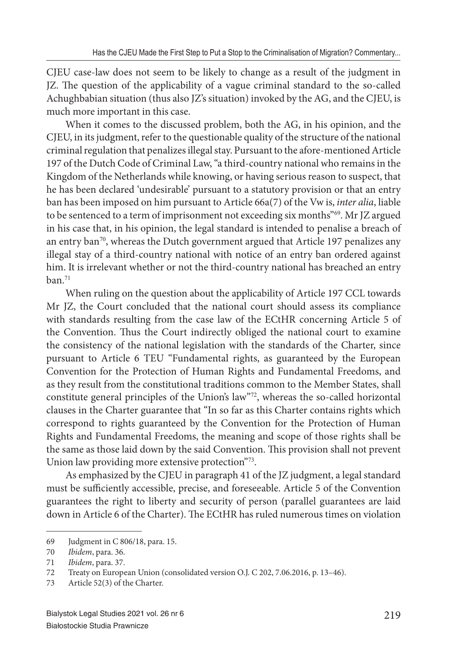CJEU case-law does not seem to be likely to change as a result of the judgment in JZ. The question of the applicability of a vague criminal standard to the so-called Achughbabian situation (thus also JZ's situation) invoked by the AG, and the CJEU, is much more important in this case.

When it comes to the discussed problem, both the AG, in his opinion, and the CJEU, in its judgment, refer to the questionable quality of the structure of the national criminal regulation that penalizes illegal stay. Pursuant to the afore-mentioned Article 197 of the Dutch Code of Criminal Law, "a third-country national who remains in the Kingdom of the Netherlands while knowing, or having serious reason to suspect, that he has been declared 'undesirable' pursuant to a statutory provision or that an entry ban has been imposed on him pursuant to Article 66a(7) of the Vw is, *inter alia*, liable to be sentenced to a term of imprisonment not exceeding six months"<sup>69</sup>. Mr JZ argued in his case that, in his opinion, the legal standard is intended to penalise a breach of an entry ban<sup>70</sup>, whereas the Dutch government argued that Article 197 penalizes any illegal stay of a third-country national with notice of an entry ban ordered against him. It is irrelevant whether or not the third-country national has breached an entry ban.<sup>71</sup>

When ruling on the question about the applicability of Article 197 CCL towards Mr JZ, the Court concluded that the national court should assess its compliance with standards resulting from the case law of the ECtHR concerning Article 5 of the Convention. Thus the Court indirectly obliged the national court to examine the consistency of the national legislation with the standards of the Charter, since pursuant to Article 6 TEU "Fundamental rights, as guaranteed by the European Convention for the Protection of Human Rights and Fundamental Freedoms, and as they result from the constitutional traditions common to the Member States, shall constitute general principles of the Union's law"<sup>72</sup>, whereas the so-called horizontal clauses in the Charter guarantee that "In so far as this Charter contains rights which correspond to rights guaranteed by the Convention for the Protection of Human Rights and Fundamental Freedoms, the meaning and scope of those rights shall be the same as those laid down by the said Convention. This provision shall not prevent Union law providing more extensive protection"<sup>73</sup>.

As emphasized by the CJEU in paragraph 41 of the JZ judgment, a legal standard must be sufficiently accessible, precise, and foreseeable. Article 5 of the Convention guarantees the right to liberty and security of person (parallel guarantees are laid down in Article 6 of the Charter). The ECtHR has ruled numerous times on violation

<sup>69</sup> Judgment in C 806/18, para. 15.

<sup>70</sup> *Ibidem*, para. 36.

<sup>71</sup> *Ibidem*, para. 37.

<sup>72</sup> Treaty on European Union (consolidated version O.J. C 202, 7.06.2016, p. 13–46).

<sup>73</sup> Article 52(3) of the Charter.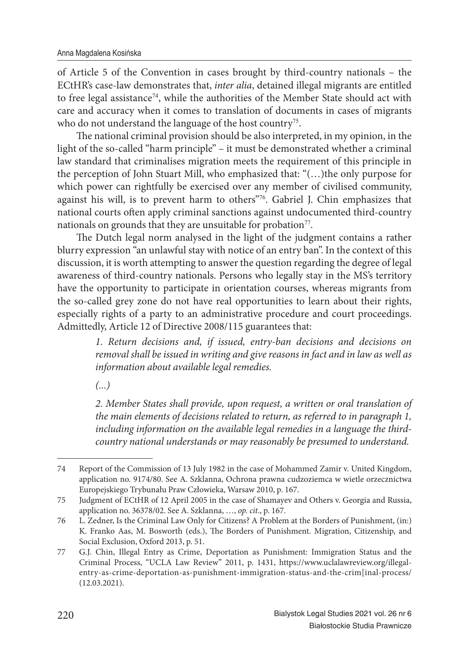of Article 5 of the Convention in cases brought by third-country nationals – the ECtHR's case-law demonstrates that, *inter alia*, detained illegal migrants are entitled to free legal assistance<sup>74</sup>, while the authorities of the Member State should act with care and accuracy when it comes to translation of documents in cases of migrants who do not understand the language of the host country<sup>75</sup>.

The national criminal provision should be also interpreted, in my opinion, in the light of the so-called "harm principle" – it must be demonstrated whether a criminal law standard that criminalises migration meets the requirement of this principle in the perception of John Stuart Mill, who emphasized that: "(…)the only purpose for which power can rightfully be exercised over any member of civilised community, against his will, is to prevent harm to others"<sup>76</sup>. Gabriel J. Chin emphasizes that national courts often apply criminal sanctions against undocumented third-country nationals on grounds that they are unsuitable for probation<sup>77</sup>.

The Dutch legal norm analysed in the light of the judgment contains a rather blurry expression "an unlawful stay with notice of an entry ban". In the context of this discussion, it is worth attempting to answer the question regarding the degree of legal awareness of third-country nationals. Persons who legally stay in the MS's territory have the opportunity to participate in orientation courses, whereas migrants from the so-called grey zone do not have real opportunities to learn about their rights, especially rights of a party to an administrative procedure and court proceedings. Admittedly, Article 12 of Directive 2008/115 guarantees that:

> *1. Return decisions and, if issued, entry-ban decisions and decisions on removal shall be issued in writing and give reasons in fact and in law as well as information about available legal remedies.*

*(...)*

*2. Member States shall provide, upon request, a written or oral translation of the main elements of decisions related to return, as referred to in paragraph 1, including information on the available legal remedies in a language the thirdcountry national understands or may reasonably be presumed to understand.*

<sup>74</sup> Report of the Commission of 13 July 1982 in the case of Mohammed Zamir v. United Kingdom, application no. 9174/80. See A. Szklanna, Ochrona prawna cudzoziemca w wietle orzecznictwa Europejskiego Trybunału Praw Człowieka, Warsaw 2010, p. 167.

<sup>75</sup> Judgment of ECtHR of 12 April 2005 in the case of Shamayev and Others v. Georgia and Russia, application no. 36378/02. See A. Szklanna, …, *op. cit*., p. 167.

<sup>76</sup> L. Zedner, Is the Criminal Law Only for Citizens? A Problem at the Borders of Punishment, (in:) K. Franko Aas, M. Bosworth (eds.), The Borders of Punishment. Migration, Citizenship, and Social Exclusion, Oxford 2013, p. 51.

<sup>77</sup> G.J. Chin, Illegal Entry as Crime, Deportation as Punishment: Immigration Status and the Criminal Process, "UCLA Law Review" 2011, p. 1431, https://www.uclalawreview.org/illegalentry-as-crime-deportation-as-punishment-immigration-status-and-the-crim[inal-process/ (12.03.2021).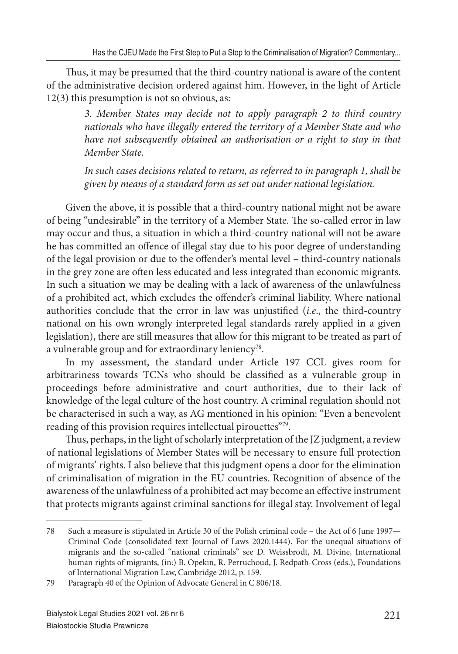Thus, it may be presumed that the third-country national is aware of the content of the administrative decision ordered against him. However, in the light of Article 12(3) this presumption is not so obvious, as:

> *3. Member States may decide not to apply paragraph 2 to third country nationals who have illegally entered the territory of a Member State and who have not subsequently obtained an authorisation or a right to stay in that Member State.*

> *In such cases decisions related to return, as referred to in paragraph 1, shall be given by means of a standard form as set out under national legislation.*

Given the above, it is possible that a third-country national might not be aware of being "undesirable" in the territory of a Member State. The so-called error in law may occur and thus, a situation in which a third-country national will not be aware he has committed an offence of illegal stay due to his poor degree of understanding of the legal provision or due to the offender's mental level – third-country nationals in the grey zone are often less educated and less integrated than economic migrants. In such a situation we may be dealing with a lack of awareness of the unlawfulness of a prohibited act, which excludes the offender's criminal liability. Where national authorities conclude that the error in law was unjustified (*i.e.*, the third-country national on his own wrongly interpreted legal standards rarely applied in a given legislation), there are still measures that allow for this migrant to be treated as part of a vulnerable group and for extraordinary leniency<sup>78</sup>.

In my assessment, the standard under Article 197 CCL gives room for arbitrariness towards TCNs who should be classified as a vulnerable group in proceedings before administrative and court authorities, due to their lack of knowledge of the legal culture of the host country. A criminal regulation should not be characterised in such a way, as AG mentioned in his opinion: "Even a benevolent reading of this provision requires intellectual pirouettes"<sup>79</sup>.

Thus, perhaps, in the light of scholarly interpretation of the JZ judgment, a review of national legislations of Member States will be necessary to ensure full protection of migrants' rights. I also believe that this judgment opens a door for the elimination of criminalisation of migration in the EU countries. Recognition of absence of the awareness of the unlawfulness of a prohibited act may become an effective instrument that protects migrants against criminal sanctions for illegal stay. Involvement of legal

<sup>78</sup> Such a measure is stipulated in Article 30 of the Polish criminal code – the Act of 6 June 1997— Criminal Code (consolidated text Journal of Laws 2020.1444). For the unequal situations of migrants and the so-called "national criminals" see D. Weissbrodt, M. Divine, International human rights of migrants, (in:) B. Opekin, R. Perruchoud, J. Redpath-Cross (eds.), Foundations of International Migration Law, Cambridge 2012, p. 159.

<sup>79</sup> Paragraph 40 of the Opinion of Advocate General in C 806/18.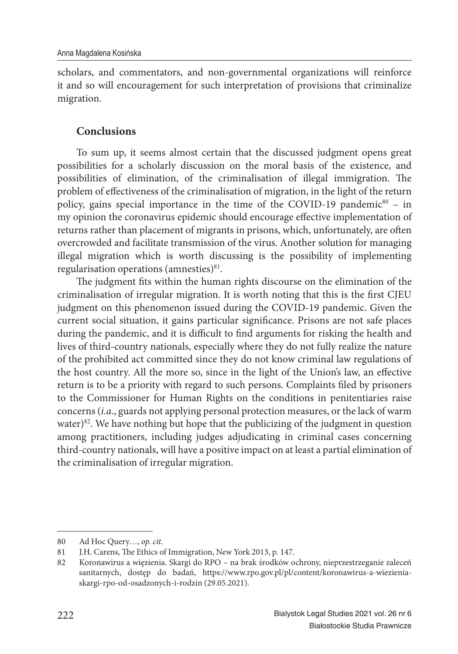scholars, and commentators, and non-governmental organizations will reinforce it and so will encouragement for such interpretation of provisions that criminalize migration.

## **Conclusions**

To sum up, it seems almost certain that the discussed judgment opens great possibilities for a scholarly discussion on the moral basis of the existence, and possibilities of elimination, of the criminalisation of illegal immigration. The problem of effectiveness of the criminalisation of migration, in the light of the return policy, gains special importance in the time of the COVID-19 pandemic<sup>80</sup> – in my opinion the coronavirus epidemic should encourage effective implementation of returns rather than placement of migrants in prisons, which, unfortunately, are often overcrowded and facilitate transmission of the virus. Another solution for managing illegal migration which is worth discussing is the possibility of implementing regularisation operations (amnesties) $81$ .

The judgment fits within the human rights discourse on the elimination of the criminalisation of irregular migration. It is worth noting that this is the first CJEU judgment on this phenomenon issued during the COVID-19 pandemic. Given the current social situation, it gains particular significance. Prisons are not safe places during the pandemic, and it is difficult to find arguments for risking the health and lives of third-country nationals, especially where they do not fully realize the nature of the prohibited act committed since they do not know criminal law regulations of the host country. All the more so, since in the light of the Union's law, an effective return is to be a priority with regard to such persons. Complaints filed by prisoners to the Commissioner for Human Rights on the conditions in penitentiaries raise concerns (*i.a*., guards not applying personal protection measures, or the lack of warm water) $82$ . We have nothing but hope that the publicizing of the judgment in question among practitioners, including judges adjudicating in criminal cases concerning third-country nationals, will have a positive impact on at least a partial elimination of the criminalisation of irregular migration.

<sup>80</sup> Ad Hoc Query…, *op. cit.*

<sup>81</sup> J.H. Carens, The Ethics of Immigration, New York 2013, p. 147.

<sup>82</sup> Koronawirus a więzienia. Skargi do RPO – na brak środków ochrony, nieprzestrzeganie zaleceń sanitarnych, dostęp do badań, https://www.rpo.gov.pl/pl/content/koronawirus-a-wiezieniaskargi-rpo-od-osadzonych-i-rodzin (29.05.2021).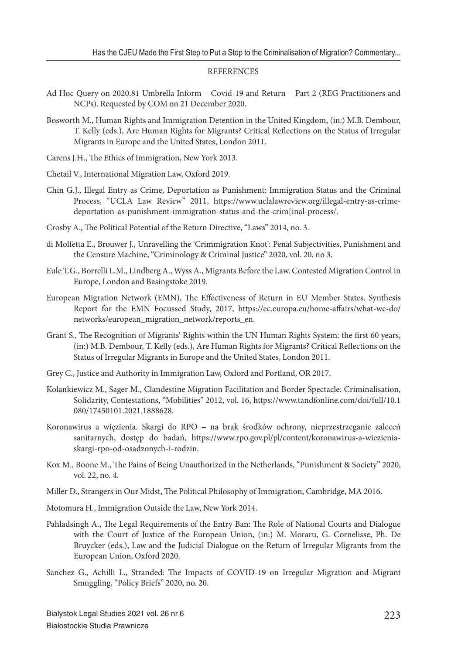#### **REFERENCES**

- Ad Hoc Query on 2020.81 Umbrella Inform Covid-19 and Return Part 2 (REG Practitioners and NCPs). Requested by COM on 21 December 2020.
- Bosworth M., Human Rights and Immigration Detention in the United Kingdom, (in:) M.B. Dembour, T. Kelly (eds.), Are Human Rights for Migrants? Critical Reflections on the Status of Irregular Migrants in Europe and the United States, London 2011.
- Carens J.H., The Ethics of Immigration, New York 2013.
- Chetail V., International Migration Law, Oxford 2019.
- Chin G.J., Illegal Entry as Crime, Deportation as Punishment: Immigration Status and the Criminal Process, "UCLA Law Review" 2011, https://www.uclalawreview.org/illegal-entry-as-crimedeportation-as-punishment-immigration-status-and-the-crim[inal-process/.
- Crosby A., The Political Potential of the Return Directive, "Laws" 2014, no. 3.
- di Molfetta E., Brouwer J., Unravelling the 'Crimmigration Knot': Penal Subjectivities, Punishment and the Censure Machine, "Criminology & Criminal Justice" 2020, vol. 20, no 3.
- Eule T.G., Borrelli L.M., Lindberg A., Wyss A., Migrants Before the Law. Contested Migration Control in Europe, London and Basingstoke 2019.
- European Migration Network (EMN), The Effectiveness of Return in EU Member States. Synthesis Report for the EMN Focussed Study, 2017, https://ec.europa.eu/home-affairs/what-we-do/ networks/european\_migration\_network/reports\_en.
- Grant S., The Recognition of Migrants' Rights within the UN Human Rights System: the first 60 years, (in:) M.B. Dembour, T. Kelly (eds.), Are Human Rights for Migrants? Critical Reflections on the Status of Irregular Migrants in Europe and the United States, London 2011.
- Grey C., Justice and Authority in Immigration Law, Oxford and Portland, OR 2017.
- Kolankiewicz M., Sager M., Clandestine Migration Facilitation and Border Spectacle: Criminalisation, Solidarity, Contestations, "Mobilities" 2012, vol. 16, https://www.tandfonline.com/doi/full/10.1 080/17450101.2021.1888628.
- Koronawirus a więzienia. Skargi do RPO na brak środków ochrony, nieprzestrzeganie zaleceń sanitarnych, dostęp do badań, https://www.rpo.gov.pl/pl/content/koronawirus-a-wiezieniaskargi-rpo-od-osadzonych-i-rodzin.
- Kox M., Boone M., The Pains of Being Unauthorized in the Netherlands, "Punishment & Society" 2020, vol. 22, no. 4.
- Miller D., Strangers in Our Midst, The Political Philosophy of Immigration, Cambridge, MA 2016.
- Motomura H., Immigration Outside the Law, New York 2014.
- Pahladsingh A., The Legal Requirements of the Entry Ban: The Role of National Courts and Dialogue with the Court of Justice of the European Union, (in:) M. Moraru, G. Cornelisse, Ph. De Bruycker (eds.), Law and the Judicial Dialogue on the Return of Irregular Migrants from the European Union, Oxford 2020.
- Sanchez G., Achilli L., Stranded: The Impacts of COVID-19 on Irregular Migration and Migrant Smuggling, "Policy Briefs" 2020, no. 20.